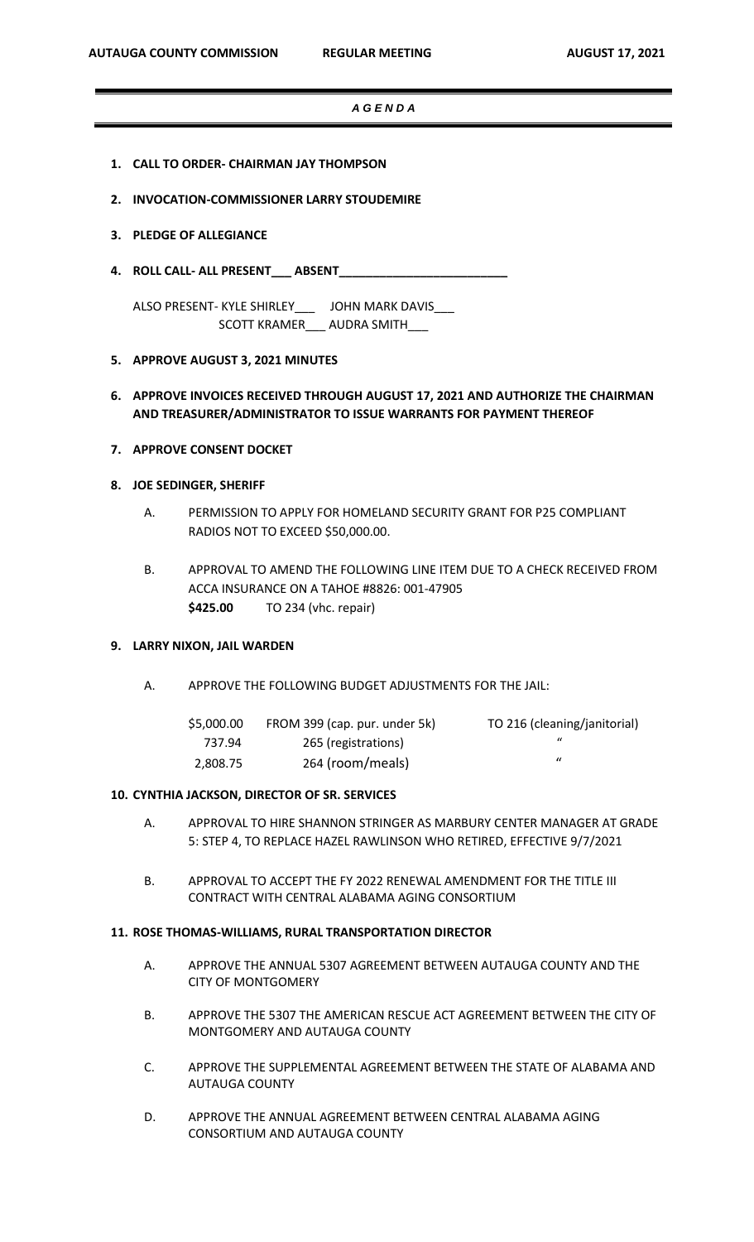#### *A G E N D A*

- **1. CALL TO ORDER- CHAIRMAN JAY THOMPSON**
- **2. INVOCATION-COMMISSIONER LARRY STOUDEMIRE**

### **3. PLEDGE OF ALLEGIANCE**

**4. ROLL CALL- ALL PRESENT\_\_\_ ABSENT\_\_\_\_\_\_\_\_\_\_\_\_\_\_\_\_\_\_\_\_\_\_\_\_\_**

ALSO PRESENT- KYLE SHIRLEY\_\_\_ JOHN MARK DAVIS\_\_\_ SCOTT KRAMER\_\_\_ AUDRA SMITH\_\_\_

### **5. APPROVE AUGUST 3, 2021 MINUTES**

# **6. APPROVE INVOICES RECEIVED THROUGH AUGUST 17, 2021 AND AUTHORIZE THE CHAIRMAN AND TREASURER/ADMINISTRATOR TO ISSUE WARRANTS FOR PAYMENT THEREOF**

**7. APPROVE CONSENT DOCKET**

## **8. JOE SEDINGER, SHERIFF**

- A. PERMISSION TO APPLY FOR HOMELAND SECURITY GRANT FOR P25 COMPLIANT RADIOS NOT TO EXCEED \$50,000.00.
- B. APPROVAL TO AMEND THE FOLLOWING LINE ITEM DUE TO A CHECK RECEIVED FROM ACCA INSURANCE ON A TAHOE #8826: 001-47905 **\$425.00** TO 234 (vhc. repair)

### **9. LARRY NIXON, JAIL WARDEN**

A. APPROVE THE FOLLOWING BUDGET ADJUSTMENTS FOR THE JAIL:

| \$5,000.00 | FROM 399 (cap. pur. under 5k) | TO 216 (cleaning/janitorial) |
|------------|-------------------------------|------------------------------|
| 737.94     | 265 (registrations)           |                              |
| 2.808.75   | 264 (room/meals)              |                              |

#### **10. CYNTHIA JACKSON, DIRECTOR OF SR. SERVICES**

- A. APPROVAL TO HIRE SHANNON STRINGER AS MARBURY CENTER MANAGER AT GRADE 5: STEP 4, TO REPLACE HAZEL RAWLINSON WHO RETIRED, EFFECTIVE 9/7/2021
- B. APPROVAL TO ACCEPT THE FY 2022 RENEWAL AMENDMENT FOR THE TITLE III CONTRACT WITH CENTRAL ALABAMA AGING CONSORTIUM

# **11. ROSE THOMAS-WILLIAMS, RURAL TRANSPORTATION DIRECTOR**

- A. APPROVE THE ANNUAL 5307 AGREEMENT BETWEEN AUTAUGA COUNTY AND THE CITY OF MONTGOMERY
- B. APPROVE THE 5307 THE AMERICAN RESCUE ACT AGREEMENT BETWEEN THE CITY OF MONTGOMERY AND AUTAUGA COUNTY
- C. APPROVE THE SUPPLEMENTAL AGREEMENT BETWEEN THE STATE OF ALABAMA AND AUTAUGA COUNTY
- D. APPROVE THE ANNUAL AGREEMENT BETWEEN CENTRAL ALABAMA AGING CONSORTIUM AND AUTAUGA COUNTY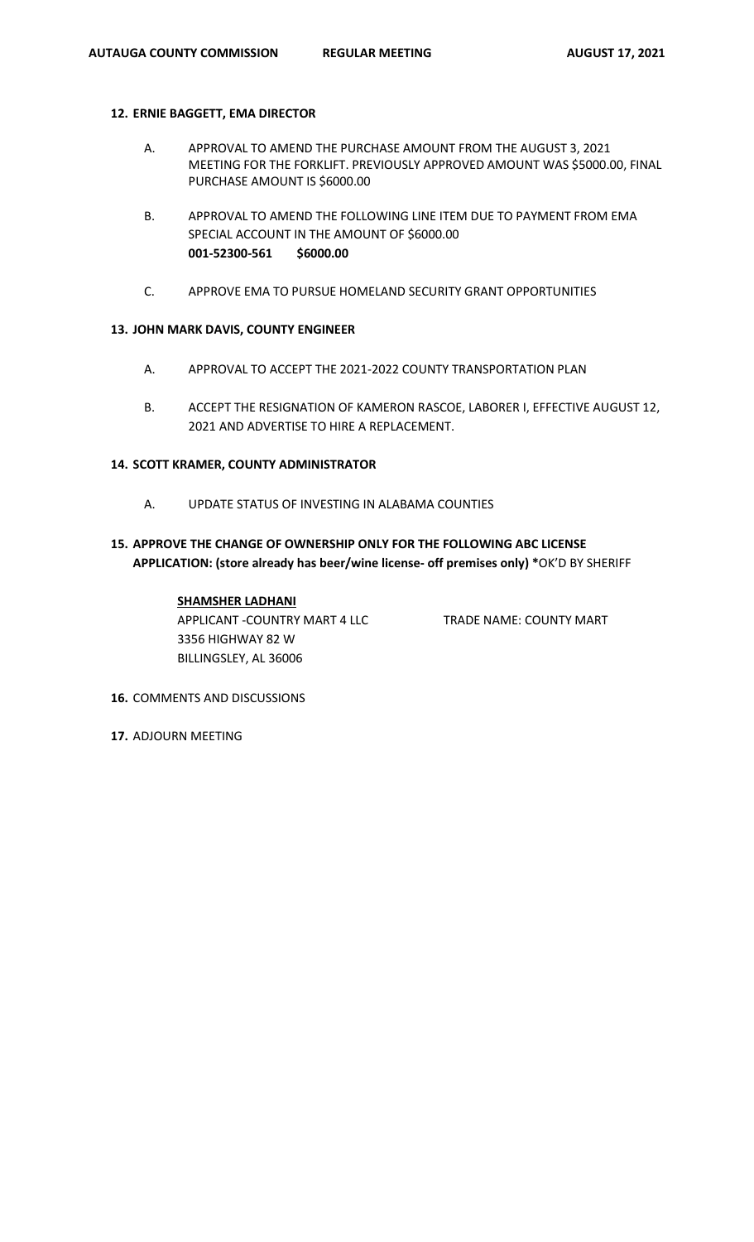## **12. ERNIE BAGGETT, EMA DIRECTOR**

- A. APPROVAL TO AMEND THE PURCHASE AMOUNT FROM THE AUGUST 3, 2021 MEETING FOR THE FORKLIFT. PREVIOUSLY APPROVED AMOUNT WAS \$5000.00, FINAL PURCHASE AMOUNT IS \$6000.00
- B. APPROVAL TO AMEND THE FOLLOWING LINE ITEM DUE TO PAYMENT FROM EMA SPECIAL ACCOUNT IN THE AMOUNT OF \$6000.00 **001-52300-561 \$6000.00**
- C. APPROVE EMA TO PURSUE HOMELAND SECURITY GRANT OPPORTUNITIES

# **13. JOHN MARK DAVIS, COUNTY ENGINEER**

- A. APPROVAL TO ACCEPT THE 2021-2022 COUNTY TRANSPORTATION PLAN
- B. ACCEPT THE RESIGNATION OF KAMERON RASCOE, LABORER I, EFFECTIVE AUGUST 12, 2021 AND ADVERTISE TO HIRE A REPLACEMENT.

# **14. SCOTT KRAMER, COUNTY ADMINISTRATOR**

- A. UPDATE STATUS OF INVESTING IN ALABAMA COUNTIES
- **15. APPROVE THE CHANGE OF OWNERSHIP ONLY FOR THE FOLLOWING ABC LICENSE APPLICATION: (store already has beer/wine license- off premises only) \***OK'D BY SHERIFF

# **SHAMSHER LADHANI**

APPLICANT -COUNTRY MART 4 LLC TRADE NAME: COUNTY MART 3356 HIGHWAY 82 W BILLINGSLEY, AL 36006

- **16.** COMMENTS AND DISCUSSIONS
- **17.** ADJOURN MEETING